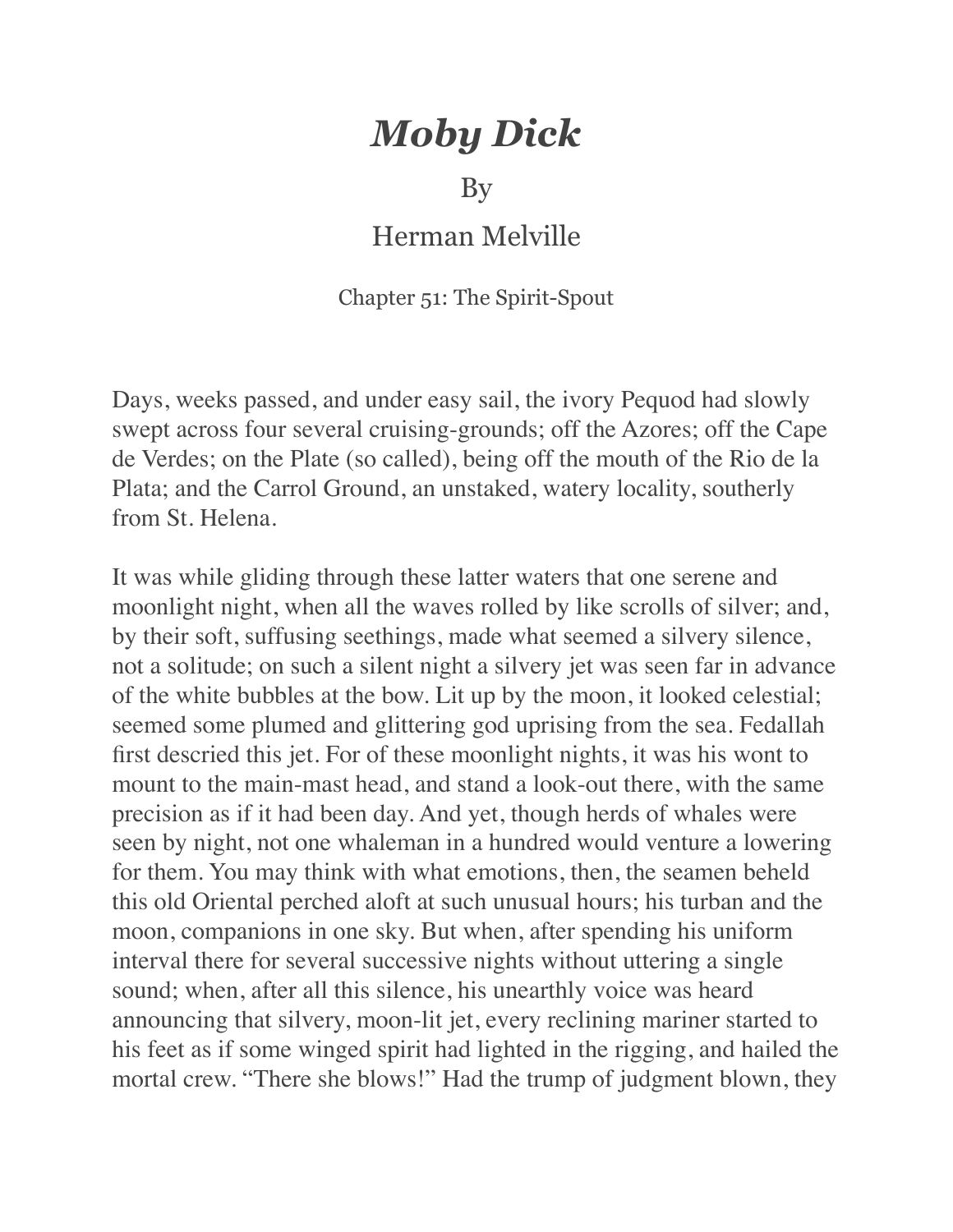## *Moby Dick*

## By

## Herman Melville

## Chapter 51: The Spirit-Spout

Days, weeks passed, and under easy sail, the ivory Pequod had slowly swept across four several cruising-grounds; off the Azores; off the Cape de Verdes; on the Plate (so called), being off the mouth of the Rio de la Plata; and the Carrol Ground, an unstaked, watery locality, southerly from St. Helena.

It was while gliding through these latter waters that one serene and moonlight night, when all the waves rolled by like scrolls of silver; and, by their soft, suffusing seethings, made what seemed a silvery silence, not a solitude; on such a silent night a silvery jet was seen far in advance of the white bubbles at the bow. Lit up by the moon, it looked celestial; seemed some plumed and glittering god uprising from the sea. Fedallah first descried this jet. For of these moonlight nights, it was his wont to mount to the main-mast head, and stand a look-out there, with the same precision as if it had been day. And yet, though herds of whales were seen by night, not one whaleman in a hundred would venture a lowering for them. You may think with what emotions, then, the seamen beheld this old Oriental perched aloft at such unusual hours; his turban and the moon, companions in one sky. But when, after spending his uniform interval there for several successive nights without uttering a single sound; when, after all this silence, his unearthly voice was heard announcing that silvery, moon-lit jet, every reclining mariner started to his feet as if some winged spirit had lighted in the rigging, and hailed the mortal crew. "There she blows!" Had the trump of judgment blown, they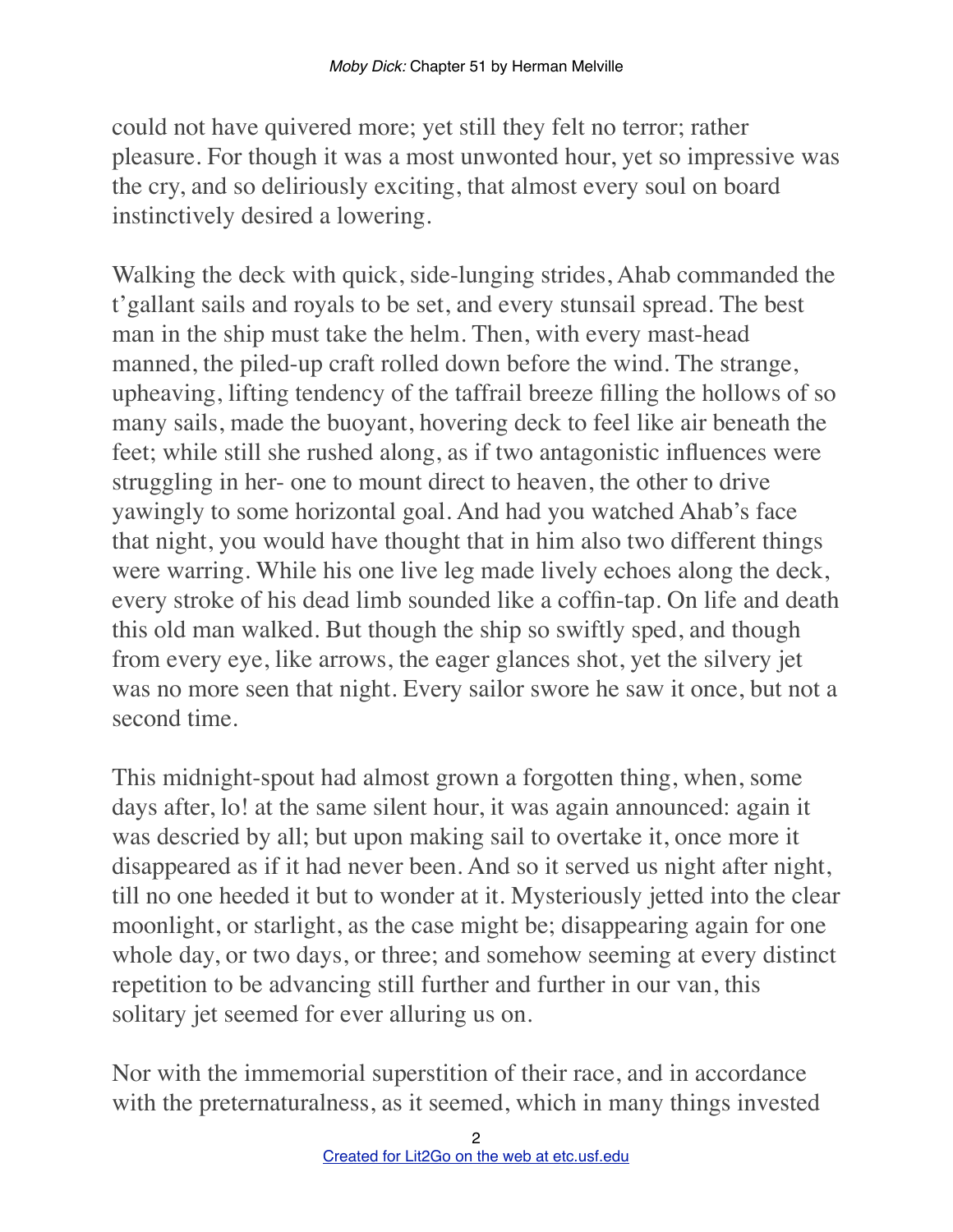could not have quivered more; yet still they felt no terror; rather pleasure. For though it was a most unwonted hour, yet so impressive was the cry, and so deliriously exciting, that almost every soul on board instinctively desired a lowering.

Walking the deck with quick, side-lunging strides, Ahab commanded the t'gallant sails and royals to be set, and every stunsail spread. The best man in the ship must take the helm. Then, with every mast-head manned, the piled-up craft rolled down before the wind. The strange, upheaving, lifting tendency of the taffrail breeze filling the hollows of so many sails, made the buoyant, hovering deck to feel like air beneath the feet; while still she rushed along, as if two antagonistic influences were struggling in her- one to mount direct to heaven, the other to drive yawingly to some horizontal goal. And had you watched Ahab's face that night, you would have thought that in him also two different things were warring. While his one live leg made lively echoes along the deck, every stroke of his dead limb sounded like a coffin-tap. On life and death this old man walked. But though the ship so swiftly sped, and though from every eye, like arrows, the eager glances shot, yet the silvery jet was no more seen that night. Every sailor swore he saw it once, but not a second time.

This midnight-spout had almost grown a forgotten thing, when, some days after, lo! at the same silent hour, it was again announced: again it was descried by all; but upon making sail to overtake it, once more it disappeared as if it had never been. And so it served us night after night, till no one heeded it but to wonder at it. Mysteriously jetted into the clear moonlight, or starlight, as the case might be; disappearing again for one whole day, or two days, or three; and somehow seeming at every distinct repetition to be advancing still further and further in our van, this solitary jet seemed for ever alluring us on.

Nor with the immemorial superstition of their race, and in accordance with the preternaturalness, as it seemed, which in many things invested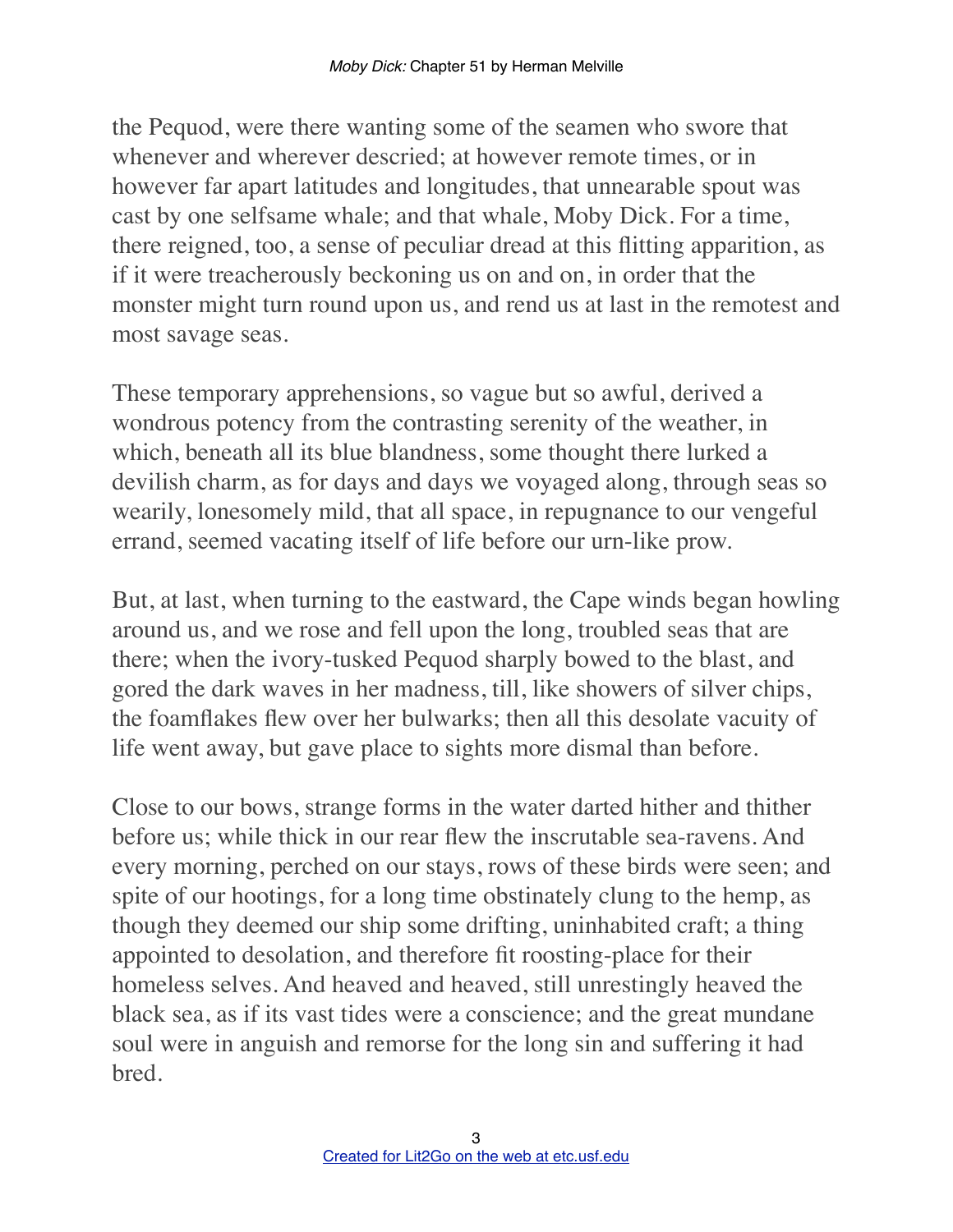the Pequod, were there wanting some of the seamen who swore that whenever and wherever descried; at however remote times, or in however far apart latitudes and longitudes, that unnearable spout was cast by one selfsame whale; and that whale, Moby Dick. For a time, there reigned, too, a sense of peculiar dread at this flitting apparition, as if it were treacherously beckoning us on and on, in order that the monster might turn round upon us, and rend us at last in the remotest and most savage seas.

These temporary apprehensions, so vague but so awful, derived a wondrous potency from the contrasting serenity of the weather, in which, beneath all its blue blandness, some thought there lurked a devilish charm, as for days and days we voyaged along, through seas so wearily, lonesomely mild, that all space, in repugnance to our vengeful errand, seemed vacating itself of life before our urn-like prow.

But, at last, when turning to the eastward, the Cape winds began howling around us, and we rose and fell upon the long, troubled seas that are there; when the ivory-tusked Pequod sharply bowed to the blast, and gored the dark waves in her madness, till, like showers of silver chips, the foamflakes flew over her bulwarks; then all this desolate vacuity of life went away, but gave place to sights more dismal than before.

Close to our bows, strange forms in the water darted hither and thither before us; while thick in our rear flew the inscrutable sea-ravens. And every morning, perched on our stays, rows of these birds were seen; and spite of our hootings, for a long time obstinately clung to the hemp, as though they deemed our ship some drifting, uninhabited craft; a thing appointed to desolation, and therefore fit roosting-place for their homeless selves. And heaved and heaved, still unrestingly heaved the black sea, as if its vast tides were a conscience; and the great mundane soul were in anguish and remorse for the long sin and suffering it had bred.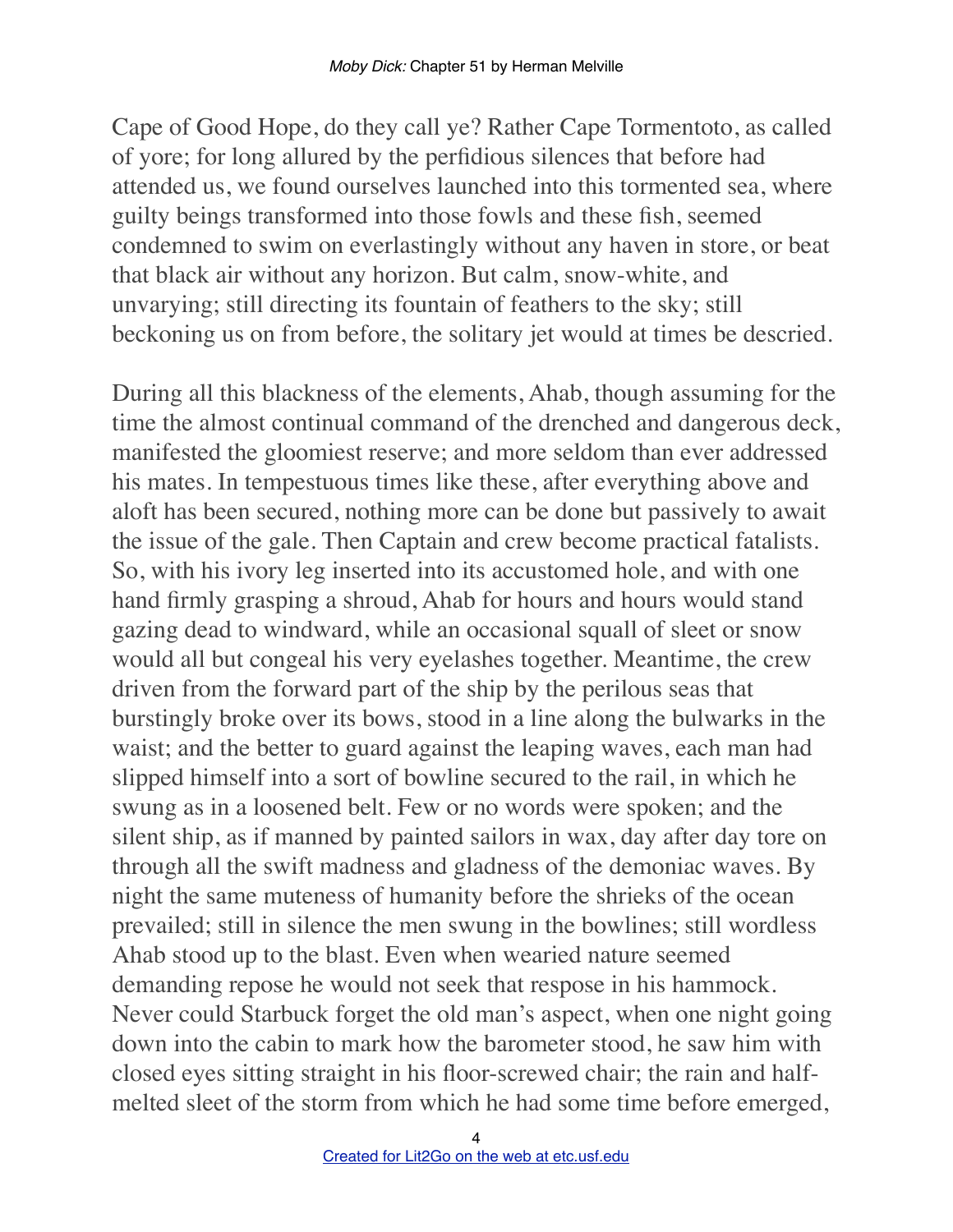Cape of Good Hope, do they call ye? Rather Cape Tormentoto, as called of yore; for long allured by the perfidious silences that before had attended us, we found ourselves launched into this tormented sea, where guilty beings transformed into those fowls and these fish, seemed condemned to swim on everlastingly without any haven in store, or beat that black air without any horizon. But calm, snow-white, and unvarying; still directing its fountain of feathers to the sky; still beckoning us on from before, the solitary jet would at times be descried.

During all this blackness of the elements, Ahab, though assuming for the time the almost continual command of the drenched and dangerous deck, manifested the gloomiest reserve; and more seldom than ever addressed his mates. In tempestuous times like these, after everything above and aloft has been secured, nothing more can be done but passively to await the issue of the gale. Then Captain and crew become practical fatalists. So, with his ivory leg inserted into its accustomed hole, and with one hand firmly grasping a shroud, Ahab for hours and hours would stand gazing dead to windward, while an occasional squall of sleet or snow would all but congeal his very eyelashes together. Meantime, the crew driven from the forward part of the ship by the perilous seas that burstingly broke over its bows, stood in a line along the bulwarks in the waist; and the better to guard against the leaping waves, each man had slipped himself into a sort of bowline secured to the rail, in which he swung as in a loosened belt. Few or no words were spoken; and the silent ship, as if manned by painted sailors in wax, day after day tore on through all the swift madness and gladness of the demoniac waves. By night the same muteness of humanity before the shrieks of the ocean prevailed; still in silence the men swung in the bowlines; still wordless Ahab stood up to the blast. Even when wearied nature seemed demanding repose he would not seek that respose in his hammock. Never could Starbuck forget the old man's aspect, when one night going down into the cabin to mark how the barometer stood, he saw him with closed eyes sitting straight in his floor-screwed chair; the rain and halfmelted sleet of the storm from which he had some time before emerged,